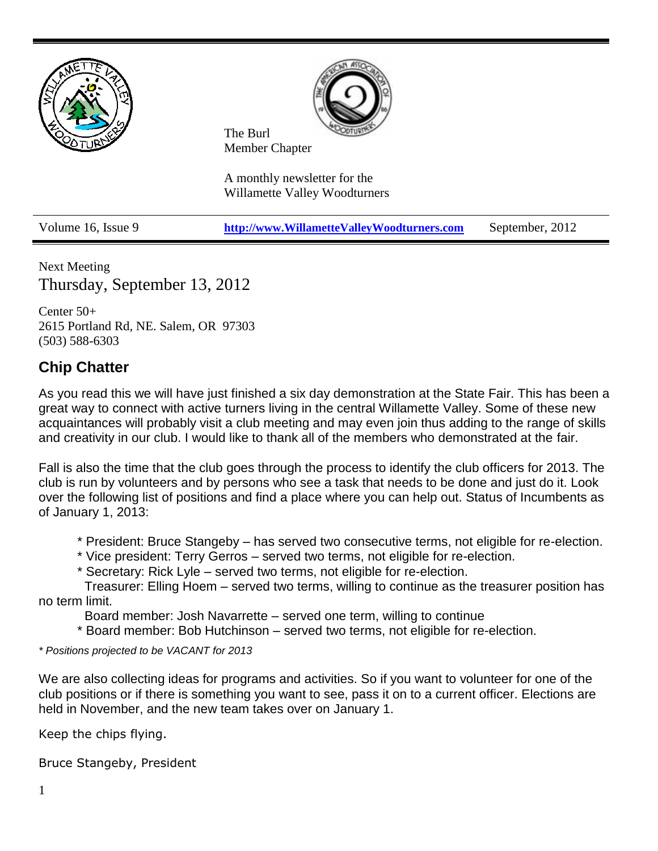

Next Meeting Thursday, September 13, 2012

Center 50+ 2615 Portland Rd, NE. Salem, OR 97303 (503) 588-6303

## **Chip Chatter**

As you read this we will have just finished a six day demonstration at the State Fair. This has been a great way to connect with active turners living in the central Willamette Valley. Some of these new acquaintances will probably visit a club meeting and may even join thus adding to the range of skills and creativity in our club. I would like to thank all of the members who demonstrated at the fair.

Fall is also the time that the club goes through the process to identify the club officers for 2013. The club is run by volunteers and by persons who see a task that needs to be done and just do it. Look over the following list of positions and find a place where you can help out. Status of Incumbents as of January 1, 2013:

\* President: Bruce Stangeby – has served two consecutive terms, not eligible for re-election.

- \* Vice president: Terry Gerros served two terms, not eligible for re-election.
- \* Secretary: Rick Lyle served two terms, not eligible for re-election.

Treasurer: Elling Hoem – served two terms, willing to continue as the treasurer position has no term limit.

Board member: Josh Navarrette – served one term, willing to continue

\* Board member: Bob Hutchinson – served two terms, not eligible for re-election.

*\* Positions projected to be VACANT for 2013*

We are also collecting ideas for programs and activities. So if you want to volunteer for one of the club positions or if there is something you want to see, pass it on to a current officer. Elections are held in November, and the new team takes over on January 1.

Keep the chips flying.

Bruce Stangeby, President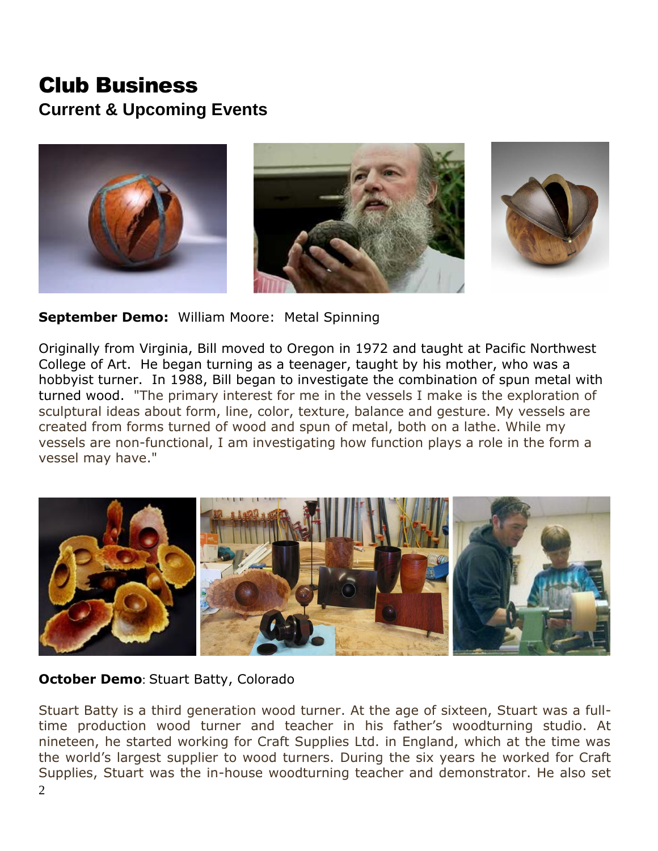# Club Business **Current & Upcoming Events**







**September Demo:** William Moore: Metal Spinning

Originally from Virginia, Bill moved to Oregon in 1972 and taught at Pacific Northwest College of Art. He began turning as a teenager, taught by his mother, who was a hobbyist turner. In 1988, Bill began to investigate the combination of spun metal with turned wood. "The primary interest for me in the vessels I make is the exploration of sculptural ideas about form, line, color, texture, balance and gesture. My vessels are created from forms turned of wood and spun of metal, both on a lathe. While my vessels are non-functional, I am investigating how function plays a role in the form a vessel may have."



### **October Demo**: Stuart Batty, Colorado

Stuart Batty is a third generation wood turner. At the age of sixteen, Stuart was a fulltime production wood turner and teacher in his father's woodturning studio. At nineteen, he started working for Craft Supplies Ltd. in England, which at the time was the world's largest supplier to wood turners. During the six years he worked for Craft Supplies, Stuart was the in-house woodturning teacher and demonstrator. He also set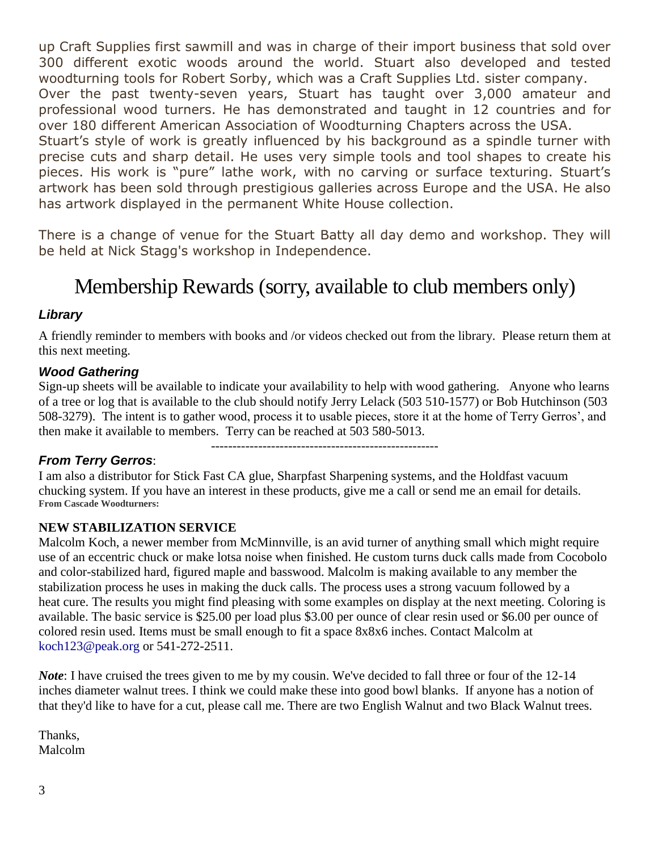up Craft Supplies first sawmill and was in charge of their import business that sold over 300 different exotic woods around the world. Stuart also developed and tested woodturning tools for Robert Sorby, which was a Craft Supplies Ltd. sister company. Over the past twenty-seven years, Stuart has taught over 3,000 amateur and professional wood turners. He has demonstrated and taught in 12 countries and for over 180 different American Association of Woodturning Chapters across the USA. Stuart's style of work is greatly influenced by his background as a spindle turner with precise cuts and sharp detail. He uses very simple tools and tool shapes to create his pieces. His work is "pure" lathe work, with no carving or surface texturing. Stuart's artwork has been sold through prestigious galleries across Europe and the USA. He also has artwork displayed in the permanent White House collection.

There is a change of venue for the Stuart Batty all day demo and workshop. They will be held at Nick Stagg's workshop in Independence.

# Membership Rewards (sorry, available to club members only)

#### *Library*

A friendly reminder to members with books and /or videos checked out from the library. Please return them at this next meeting.

#### *Wood Gathering*

Sign-up sheets will be available to indicate your availability to help with wood gathering. Anyone who learns of a tree or log that is available to the club should notify Jerry Lelack (503 510-1577) or Bob Hutchinson (503 508-3279). The intent is to gather wood, process it to usable pieces, store it at the home of Terry Gerros', and then make it available to members. Terry can be reached at 503 580-5013.

*From Terry Gerros*:

-----------------------------------------------------

I am also a distributor for Stick Fast CA glue, Sharpfast Sharpening systems, and the Holdfast vacuum chucking system. If you have an interest in these products, give me a call or send me an email for details. **From Cascade Woodturners:**

#### **NEW STABILIZATION SERVICE**

Malcolm Koch, a newer member from McMinnville, is an avid turner of anything small which might require use of an eccentric chuck or make lotsa noise when finished. He custom turns duck calls made from Cocobolo and color-stabilized hard, figured maple and basswood. Malcolm is making available to any member the stabilization process he uses in making the duck calls. The process uses a strong vacuum followed by a heat cure. The results you might find pleasing with some examples on display at the next meeting. Coloring is available. The basic service is \$25.00 per load plus \$3.00 per ounce of clear resin used or \$6.00 per ounce of colored resin used. Items must be small enough to fit a space 8x8x6 inches. Contact Malcolm at koch123@peak.org or 541-272-2511.

*Note*: I have cruised the trees given to me by my cousin. We've decided to fall three or four of the 12-14 inches diameter walnut trees. I think we could make these into good bowl blanks. If anyone has a notion of that they'd like to have for a cut, please call me. There are two English Walnut and two Black Walnut trees.

Thanks, Malcolm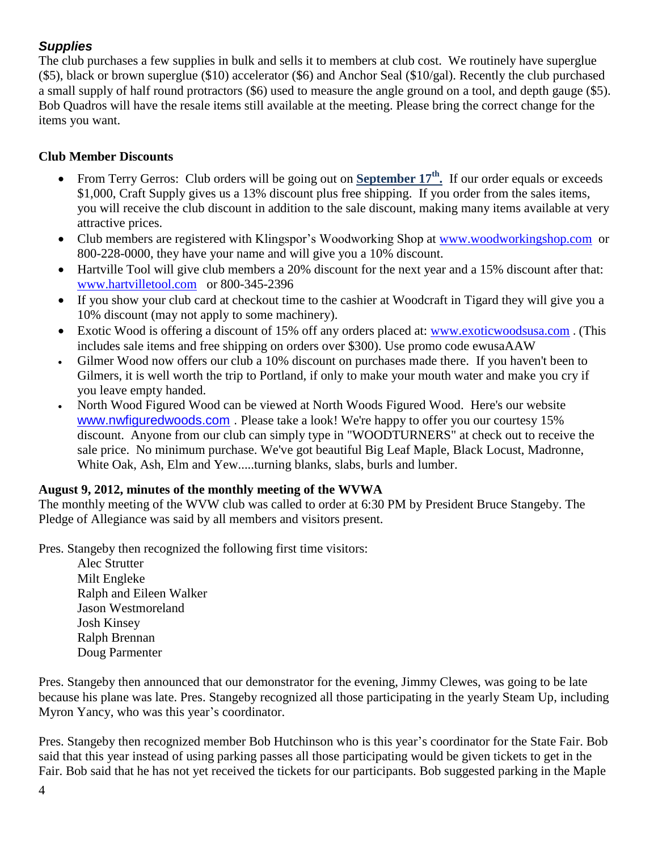### *Supplies*

The club purchases a few supplies in bulk and sells it to members at club cost. We routinely have superglue (\$5), black or brown superglue (\$10) accelerator (\$6) and Anchor Seal (\$10/gal). Recently the club purchased a small supply of half round protractors (\$6) used to measure the angle ground on a tool, and depth gauge (\$5). Bob Quadros will have the resale items still available at the meeting. Please bring the correct change for the items you want.

#### **Club Member Discounts**

- From Terry Gerros: Club orders will be going out on **September 17th .** If our order equals or exceeds \$1,000, Craft Supply gives us a 13% discount plus free shipping. If you order from the sales items, you will receive the club discount in addition to the sale discount, making many items available at very attractive prices.
- Club members are registered with Klingspor's Woodworking Shop at [www.woodworkingshop.com](http://www.woodworkingshop.com/) or 800-228-0000, they have your name and will give you a 10% discount.
- Hartville Tool will give club members a 20% discount for the next year and a 15% discount after that: [www.hartvilletool.com](http://www.hartvilletool.com/) or 800-345-2396
- If you show your club card at checkout time to the cashier at Woodcraft in Tigard they will give you a 10% discount (may not apply to some machinery).
- Exotic Wood is offering a discount of 15% off any orders placed at: [www.exoticwoodsusa.com](http://www.exoticwoodsusa.com/). (This includes sale items and free shipping on orders over \$300). Use promo code ewusaAAW
- Gilmer Wood now offers our club a 10% discount on purchases made there. If you haven't been to Gilmers, it is well worth the trip to Portland, if only to make your mouth water and make you cry if you leave empty handed.
- North Wood Figured Wood can be viewed at North Woods Figured Wood. Here's our website [www.nwfiguredwoods.com](http://www.nwfiguredwoods.com/) . Please take a look! We're happy to offer you our courtesy 15% discount. Anyone from our club can simply type in "WOODTURNERS" at check out to receive the sale price. No minimum purchase. We've got beautiful Big Leaf Maple, Black Locust, Madronne, White Oak, Ash, Elm and Yew.....turning blanks, slabs, burls and lumber.

#### **August 9, 2012, minutes of the monthly meeting of the WVWA**

The monthly meeting of the WVW club was called to order at 6:30 PM by President Bruce Stangeby. The Pledge of Allegiance was said by all members and visitors present.

Pres. Stangeby then recognized the following first time visitors:

Alec Strutter Milt Engleke Ralph and Eileen Walker Jason Westmoreland Josh Kinsey Ralph Brennan Doug Parmenter

Pres. Stangeby then announced that our demonstrator for the evening, Jimmy Clewes, was going to be late because his plane was late. Pres. Stangeby recognized all those participating in the yearly Steam Up, including Myron Yancy, who was this year's coordinator.

Pres. Stangeby then recognized member Bob Hutchinson who is this year's coordinator for the State Fair. Bob said that this year instead of using parking passes all those participating would be given tickets to get in the Fair. Bob said that he has not yet received the tickets for our participants. Bob suggested parking in the Maple